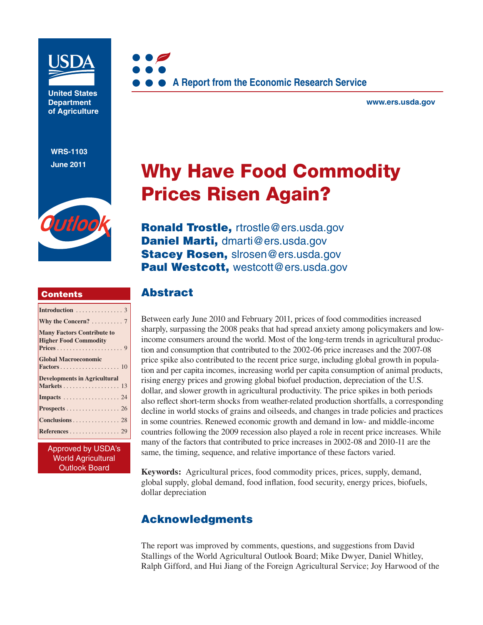

**United States Department of Agriculture** 

**WRS-1103 June 2011**



#### **Contents**

| Introduction $\ldots \ldots \ldots \ldots$ 3                      |
|-------------------------------------------------------------------|
| Why the Concern? 7                                                |
| <b>Many Factors Contribute to</b><br><b>Higher Food Commodity</b> |
| <b>Global Macroeconomic</b>                                       |
| <b>Developments in Agricultural</b><br>Markets 13                 |
| Impacts 24                                                        |
| <b>Prospects</b> 26                                               |
| Conclusions 28                                                    |
|                                                                   |

Approved by USDA's World Agricultural Outlook Board



**www.ers.usda.gov** 

# **Why Have Food Commodity Prices Risen Again?**

**Ronald Trostle,** rtrostle@ers.usda.gov **Daniel Marti,** dmarti@ers.usda.gov **Stacey Rosen,** slrosen@ers.usda.gov Paul Westcott, westcott@ers.usda.gov

### **Abstract**

Between early June 2010 and February 2011, prices of food commodities increased sharply, surpassing the 2008 peaks that had spread anxiety among policymakers and lowincome consumers around the world. Most of the long-term trends in agricultural production and consumption that contributed to the 2002-06 price increases and the 2007-08 price spike also contributed to the recent price surge, including global growth in population and per capita incomes, increasing world per capita consumption of animal products, rising energy prices and growing global biofuel production, depreciation of the U.S. dollar, and slower growth in agricultural productivity. The price spikes in both periods also reflect short-term shocks from weather-related production shortfalls, a corresponding decline in world stocks of grains and oilseeds, and changes in trade policies and practices in some countries. Renewed economic growth and demand in low- and middle-income countries following the 2009 recession also played a role in recent price increases. While many of the factors that contributed to price increases in 2002-08 and 2010-11 are the same, the timing, sequence, and relative importance of these factors varied.

**Keywords:** Agricultural prices, food commodity prices, prices, supply, demand, global supply, global demand, food inflation, food security, energy prices, biofuels, dollar depreciation

# **Acknowledgments**

The report was improved by comments, questions, and suggestions from David Stallings of the World Agricultural Outlook Board; Mike Dwyer, Daniel Whitley, Ralph Gifford, and Hui Jiang of the Foreign Agricultural Service; Joy Harwood of the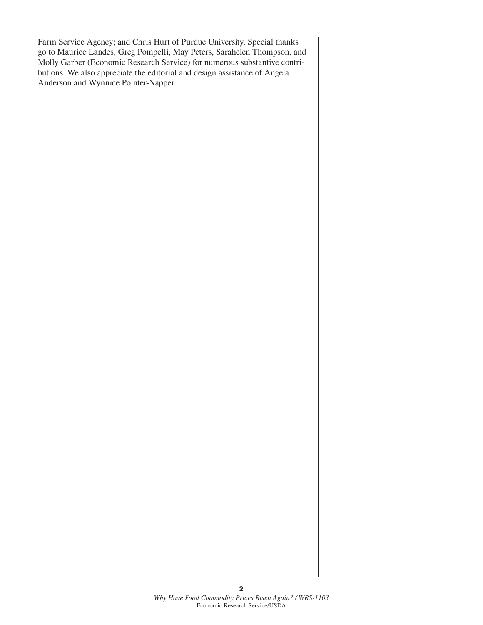Farm Service Agency; and Chris Hurt of Purdue University. Special thanks go to Maurice Landes, Greg Pompelli, May Peters, Sarahelen Thompson, and Molly Garber (Economic Research Service) for numerous substantive contributions. We also appreciate the editorial and design assistance of Angela Anderson and Wynnice Pointer-Napper.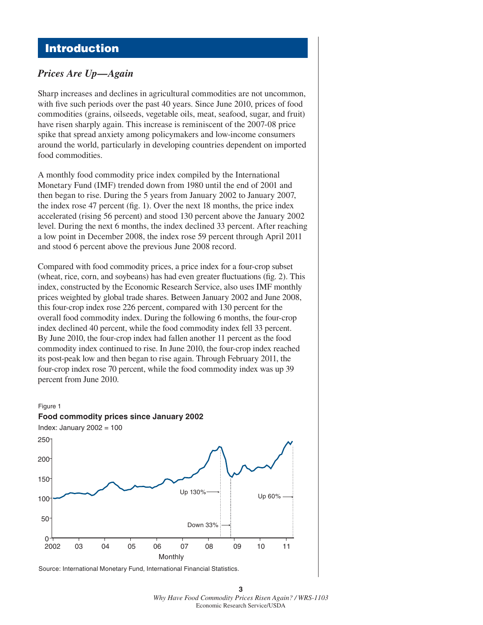# **Introduction**

### *Prices Are Up—Again*

Sharp increases and declines in agricultural commodities are not uncommon, with five such periods over the past 40 years. Since June 2010, prices of food commodities (grains, oilseeds, vegetable oils, meat, seafood, sugar, and fruit) have risen sharply again. This increase is reminiscent of the 2007-08 price spike that spread anxiety among policymakers and low-income consumers around the world, particularly in developing countries dependent on imported food commodities.

A monthly food commodity price index compiled by the International Monetary Fund (IMF) trended down from 1980 until the end of 2001 and then began to rise. During the 5 years from January 2002 to January 2007, the index rose 47 percent (fig. 1). Over the next 18 months, the price index accelerated (rising 56 percent) and stood 130 percent above the January 2002 level. During the next 6 months, the index declined 33 percent. After reaching a low point in December 2008, the index rose 59 percent through April 2011 and stood 6 percent above the previous June 2008 record.

Compared with food commodity prices, a price index for a four-crop subset (wheat, rice, corn, and soybeans) has had even greater fluctuations (fig.  $2$ ). This index, constructed by the Economic Research Service, also uses IMF monthly prices weighted by global trade shares. Between January 2002 and June 2008, this four-crop index rose 226 percent, compared with 130 percent for the overall food commodity index. During the following 6 months, the four-crop index declined 40 percent, while the food commodity index fell 33 percent. By June 2010, the four-crop index had fallen another 11 percent as the food commodity index continued to rise. In June 2010, the four-crop index reached its post-peak low and then began to rise again. Through February 2011, the four-crop index rose 70 percent, while the food commodity index was up 39 percent from June 2010.





Source: International Monetary Fund, International Financial Statistics.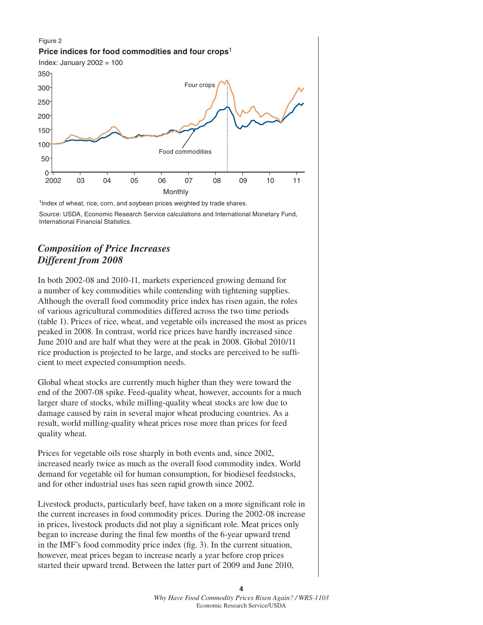#### Figure 2 **Price indices for food commodities and four crops**<sup>1</sup> Index: January 2002 = 100 Monthly Food commodities Four crops 2002 04 06 08 10 0 <del>\----</del><br>2002 50 100 150 200 250 300 350 03 05 07 09 11

<sup>1</sup>Index of wheat, rice, corn, and soybean prices weighted by trade shares.

Source: USDA, Economic Research Service calculations and International Monetary Fund, International Financial Statistics.

### *Composition of Price Increases Different from 2008*

In both 2002-08 and 2010-11, markets experienced growing demand for a number of key commodities while contending with tightening supplies. Although the overall food commodity price index has risen again, the roles of various agricultural commodities differed across the two time periods (table 1). Prices of rice, wheat, and vegetable oils increased the most as prices peaked in 2008. In contrast, world rice prices have hardly increased since June 2010 and are half what they were at the peak in 2008. Global 2010/11 rice production is projected to be large, and stocks are perceived to be sufficient to meet expected consumption needs.

Global wheat stocks are currently much higher than they were toward the end of the 2007-08 spike. Feed-quality wheat, however, accounts for a much larger share of stocks, while milling-quality wheat stocks are low due to damage caused by rain in several major wheat producing countries. As a result, world milling-quality wheat prices rose more than prices for feed quality wheat.

Prices for vegetable oils rose sharply in both events and, since 2002, increased nearly twice as much as the overall food commodity index. World demand for vegetable oil for human consumption, for biodiesel feedstocks, and for other industrial uses has seen rapid growth since 2002.

Livestock products, particularly beef, have taken on a more significant role in the current increases in food commodity prices. During the 2002-08 increase in prices, livestock products did not play a significant role. Meat prices only began to increase during the final few months of the 6-year upward trend in the IMF's food commodity price index (fig. 3). In the current situation, however, meat prices began to increase nearly a year before crop prices started their upward trend. Between the latter part of 2009 and June 2010,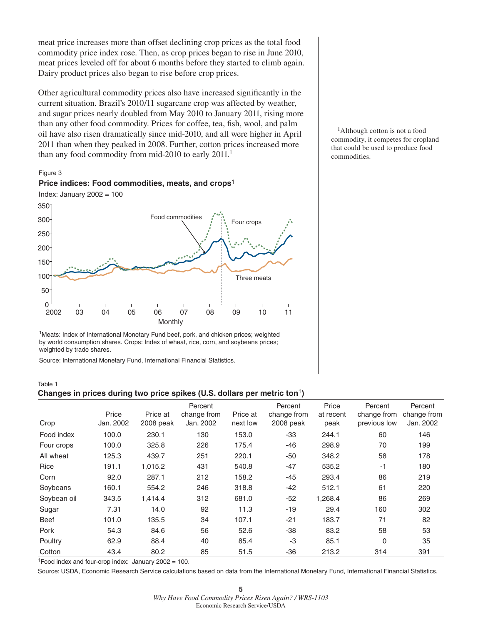meat price increases more than offset declining crop prices as the total food commodity price index rose. Then, as crop prices began to rise in June 2010, meat prices leveled off for about 6 months before they started to climb again. Dairy product prices also began to rise before crop prices.

Other agricultural commodity prices also have increased significantly in the current situation. Brazil's 2010/11 sugarcane crop was affected by weather, and sugar prices nearly doubled from May 2010 to January 2011, rising more than any other food commodity. Prices for coffee, tea, fish, wool, and palm oil have also risen dramatically since mid-2010, and all were higher in April 2011 than when they peaked in 2008. Further, cotton prices increased more than any food commodity from mid-2010 to early 2011.<sup>1</sup>

#### Figure 3



<sup>1</sup>Meats: Index of International Monetary Fund beef, pork, and chicken prices; weighted by world consumption shares. Crops: Index of wheat, rice, corn, and soybeans prices; weighted by trade shares.

Source: International Monetary Fund, International Financial Statistics.

**Price indices: Food commodities, meats, and crops**<sup>1</sup>

Table 1 **Changes in prices during two price spikes (U.S. dollars per metric ton**1**)**

|             |           |           | Percent     |          | Percent     | Price     | Percent      | Percent     |
|-------------|-----------|-----------|-------------|----------|-------------|-----------|--------------|-------------|
|             | Price     | Price at  | change from | Price at | change from | at recent | change from  | change from |
| Crop        | Jan. 2002 | 2008 peak | Jan. 2002   | next low | 2008 peak   | peak      | previous low | Jan. 2002   |
| Food index  | 100.0     | 230.1     | 130         | 153.0    | $-33$       | 244.1     | 60           | 146         |
| Four crops  | 100.0     | 325.8     | 226         | 175.4    | $-46$       | 298.9     | 70           | 199         |
| All wheat   | 125.3     | 439.7     | 251         | 220.1    | -50         | 348.2     | 58           | 178         |
| Rice        | 191.1     | 1,015.2   | 431         | 540.8    | $-47$       | 535.2     | $-1$         | 180         |
| Corn        | 92.0      | 287.1     | 212         | 158.2    | $-45$       | 293.4     | 86           | 219         |
| Soybeans    | 160.1     | 554.2     | 246         | 318.8    | $-42$       | 512.1     | 61           | 220         |
| Soybean oil | 343.5     | 1.414.4   | 312         | 681.0    | $-52$       | 1.268.4   | 86           | 269         |
| Sugar       | 7.31      | 14.0      | 92          | 11.3     | $-19$       | 29.4      | 160          | 302         |
| <b>Beef</b> | 101.0     | 135.5     | 34          | 107.1    | $-21$       | 183.7     | 71           | 82          |
| Pork        | 54.3      | 84.6      | 56          | 52.6     | $-38$       | 83.2      | 58           | 53          |
| Poultry     | 62.9      | 88.4      | 40          | 85.4     | $-3$        | 85.1      | 0            | 35          |
| Cotton      | 43.4      | 80.2      | 85          | 51.5     | $-36$       | 213.2     | 314          | 391         |

<sup>1</sup>Food index and four-crop index: January  $2002 = 100$ .

Source: USDA, Economic Research Service calculations based on data from the International Monetary Fund, International Financial Statistics.

<sup>1</sup>Although cotton is not a food commodity, it competes for cropland that could be used to produce food commodities.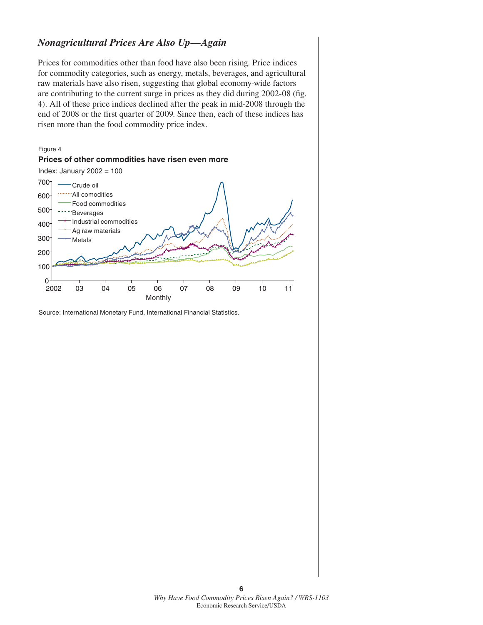### *Nonagricultural Prices Are Also Up—Again*

Prices for commodities other than food have also been rising. Price indices for commodity categories, such as energy, metals, beverages, and agricultural raw materials have also risen, suggesting that global economy-wide factors are contributing to the current surge in prices as they did during 2002-08 (fig. 4). All of these price indices declined after the peak in mid-2008 through the end of 2008 or the first quarter of 2009. Since then, each of these indices has risen more than the food commodity price index.



Source: International Monetary Fund, International Financial Statistics.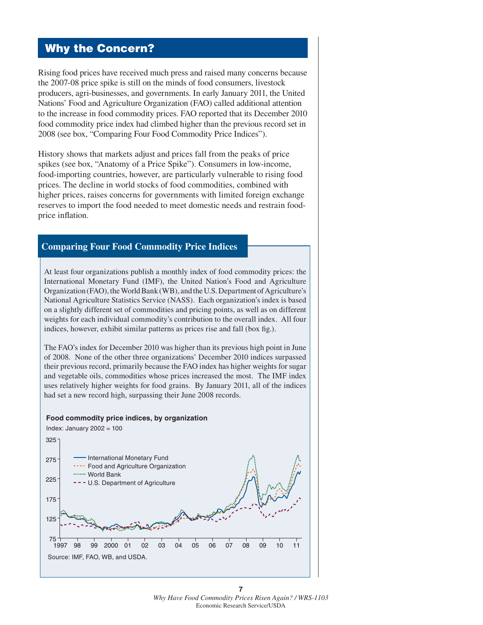# **Why the Concern?**

Rising food prices have received much press and raised many concerns because the 2007-08 price spike is still on the minds of food consumers, livestock producers, agri-businesses, and governments. In early January 2011, the United Nations' Food and Agriculture Organization (FAO) called additional attention to the increase in food commodity prices. FAO reported that its December 2010 food commodity price index had climbed higher than the previous record set in 2008 (see box, "Comparing Four Food Commodity Price Indices").

History shows that markets adjust and prices fall from the peaks of price spikes (see box, "Anatomy of a Price Spike"). Consumers in low-income, food-importing countries, however, are particularly vulnerable to rising food prices. The decline in world stocks of food commodities, combined with higher prices, raises concerns for governments with limited foreign exchange reserves to import the food needed to meet domestic needs and restrain foodprice inflation.

#### **Comparing Four Food Commodity Price Indices**

At least four organizations publish a monthly index of food commodity prices: the International Monetary Fund (IMF), the United Nation's Food and Agriculture Organization (FAO), the World Bank (WB), and the U.S. Department of Agriculture's National Agriculture Statistics Service (NASS). Each organization's index is based on a slightly different set of commodities and pricing points, as well as on different weights for each individual commodity's contribution to the overall index. All four indices, however, exhibit similar patterns as prices rise and fall (box fig.).

The FAO's index for December 2010 was higher than its previous high point in June of 2008. None of the other three organizations' December 2010 indices surpassed their previous record, primarily because the FAO index has higher weights for sugar and vegetable oils, commodities whose prices increased the most. The IMF index uses relatively higher weights for food grains. By January 2011, all of the indices had set a new record high, surpassing their June 2008 records.

#### **Food commodity price indices, by organization**

Index: January  $2002 = 100$ 

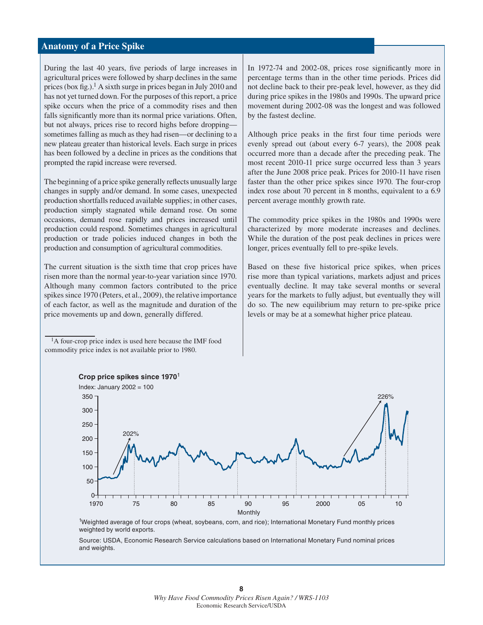#### **Anatomy of a Price Spike**

During the last 40 years, five periods of large increases in agricultural prices were followed by sharp declines in the same prices (box fig.).<sup>1</sup> A sixth surge in prices began in July 2010 and has not yet turned down. For the purposes of this report, a price spike occurs when the price of a commodity rises and then falls significantly more than its normal price variations. Often, but not always, prices rise to record highs before dropping sometimes falling as much as they had risen—or declining to a new plateau greater than historical levels. Each surge in prices has been followed by a decline in prices as the conditions that prompted the rapid increase were reversed.

The beginning of a price spike generally reflects unusually large changes in supply and/or demand. In some cases, unexpected production shortfalls reduced available supplies; in other cases, production simply stagnated while demand rose. On some occasions, demand rose rapidly and prices increased until production could respond. Sometimes changes in agricultural production or trade policies induced changes in both the production and consumption of agricultural commodities.

The current situation is the sixth time that crop prices have risen more than the normal year-to-year variation since 1970. Although many common factors contributed to the price spikes since 1970 (Peters, et al., 2009), the relative importance of each factor, as well as the magnitude and duration of the price movements up and down, generally differed.

1A four-crop price index is used here because the IMF food commodity price index is not available prior to 1980.

In 1972-74 and 2002-08, prices rose significantly more in percentage terms than in the other time periods. Prices did not decline back to their pre-peak level, however, as they did during price spikes in the 1980s and 1990s. The upward price movement during 2002-08 was the longest and was followed by the fastest decline.

Although price peaks in the first four time periods were evenly spread out (about every 6-7 years), the 2008 peak occurred more than a decade after the preceding peak. The most recent 2010-11 price surge occurred less than 3 years after the June 2008 price peak. Prices for 2010-11 have risen faster than the other price spikes since 1970. The four-crop index rose about 70 percent in 8 months, equivalent to a 6.9 percent average monthly growth rate.

The commodity price spikes in the 1980s and 1990s were characterized by more moderate increases and declines. While the duration of the post peak declines in prices were longer, prices eventually fell to pre-spike levels.

Based on these five historical price spikes, when prices rise more than typical variations, markets adjust and prices eventually decline. It may take several months or several years for the markets to fully adjust, but eventually they will do so. The new equilibrium may return to pre-spike price levels or may be at a somewhat higher price plateau.



<sup>1</sup>Weighted average of four crops (wheat, soybeans, corn, and rice); International Monetary Fund monthly prices weighted by world exports.

Source: USDA, Economic Research Service calculations based on International Monetary Fund nominal prices and weights.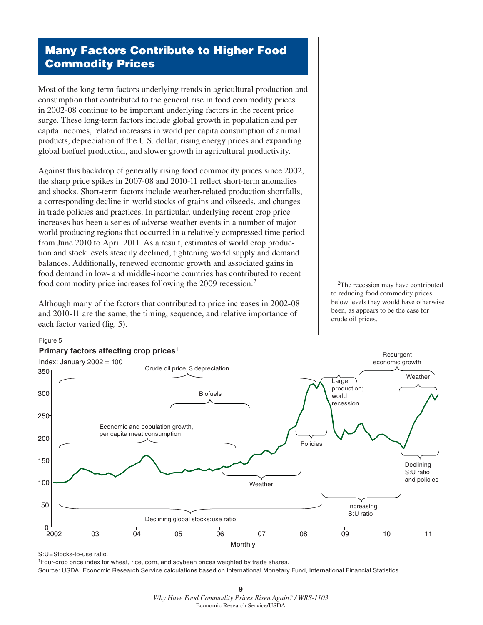# **Many Factors Contribute to Higher Food Commodity Prices**

Most of the long-term factors underlying trends in agricultural production and consumption that contributed to the general rise in food commodity prices in 2002-08 continue to be important underlying factors in the recent price surge. These long-term factors include global growth in population and per capita incomes, related increases in world per capita consumption of animal products, depreciation of the U.S. dollar, rising energy prices and expanding global biofuel production, and slower growth in agricultural productivity.

Against this backdrop of generally rising food commodity prices since 2002, the sharp price spikes in 2007-08 and 2010-11 reflect short-term anomalies and shocks. Short-term factors include weather-related production shortfalls, a corresponding decline in world stocks of grains and oilseeds, and changes in trade policies and practices. In particular, underlying recent crop price increases has been a series of adverse weather events in a number of major world producing regions that occurred in a relatively compressed time period from June 2010 to April 2011. As a result, estimates of world crop production and stock levels steadily declined, tightening world supply and demand balances. Additionally, renewed economic growth and associated gains in food demand in low- and middle-income countries has contributed to recent food commodity price increases following the 2009 recession.2

Although many of the factors that contributed to price increases in 2002-08 and 2010-11 are the same, the timing, sequence, and relative importance of each factor varied (fig. 5).

<sup>2</sup>The recession may have contributed to reducing food commodity prices below levels they would have otherwise been, as appears to be the case for crude oil prices.



Figure 5

#### **Primary factors affecting crop prices**<sup>1</sup>

1Four-crop price index for wheat, rice, corn, and soybean prices weighted by trade shares. Source: USDA, Economic Research Service calculations based on International Monetary Fund, International Financial Statistics.

S:U=Stocks-to-use ratio.

**<sup>9</sup>** *Why Have Food Commodity Prices Risen Again? / WRS-1103*  Economic Research Service/USDA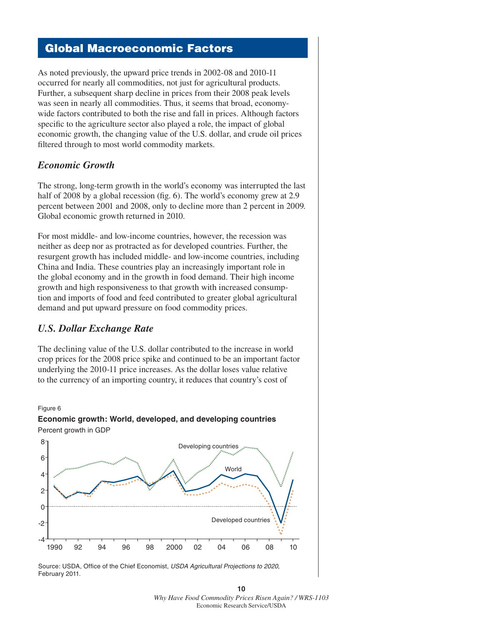# **Global Macroeconomic Factors**

As noted previously, the upward price trends in 2002-08 and 2010-11 occurred for nearly all commodities, not just for agricultural products. Further, a subsequent sharp decline in prices from their 2008 peak levels was seen in nearly all commodities. Thus, it seems that broad, economywide factors contributed to both the rise and fall in prices. Although factors specific to the agriculture sector also played a role, the impact of global economic growth, the changing value of the U.S. dollar, and crude oil prices filtered through to most world commodity markets.

#### *Economic Growth*

The strong, long-term growth in the world's economy was interrupted the last half of 2008 by a global recession (fig. 6). The world's economy grew at  $2.9$ percent between 2001 and 2008, only to decline more than 2 percent in 2009. Global economic growth returned in 2010.

For most middle- and low-income countries, however, the recession was neither as deep nor as protracted as for developed countries. Further, the resurgent growth has included middle- and low-income countries, including China and India. These countries play an increasingly important role in the global economy and in the growth in food demand. Their high income growth and high responsiveness to that growth with increased consumption and imports of food and feed contributed to greater global agricultural demand and put upward pressure on food commodity prices.

#### *U.S. Dollar Exchange Rate*

Figure 6

The declining value of the U.S. dollar contributed to the increase in world crop prices for the 2008 price spike and continued to be an important factor underlying the 2010-11 price increases. As the dollar loses value relative to the currency of an importing country, it reduces that country's cost of



1990 92 94 96 98 2000 02 04 06 08 10

Source: USDA, Office of the Chief Economist, *USDA Agricultural Projections to 2020*, February 2011.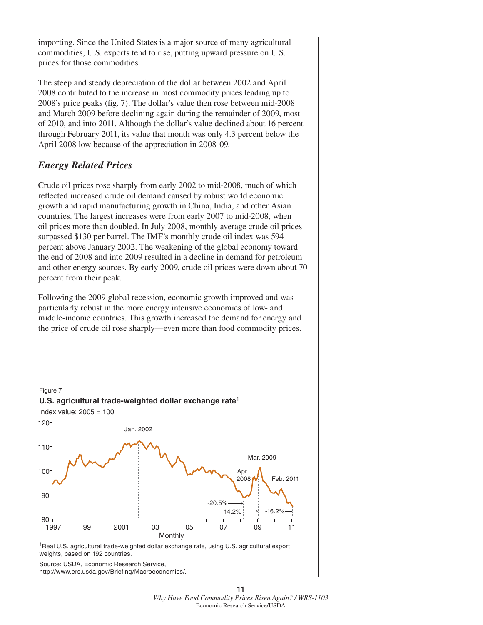importing. Since the United States is a major source of many agricultural commodities, U.S. exports tend to rise, putting upward pressure on U.S. prices for those commodities.

The steep and steady depreciation of the dollar between 2002 and April 2008 contributed to the increase in most commodity prices leading up to 2008's price peaks (fig. 7). The dollar's value then rose between mid-2008 and March 2009 before declining again during the remainder of 2009, most of 2010, and into 2011. Although the dollar's value declined about 16 percent through February 2011, its value that month was only 4.3 percent below the April 2008 low because of the appreciation in 2008-09.

#### *Energy Related Prices*

Crude oil prices rose sharply from early 2002 to mid-2008, much of which reflected increased crude oil demand caused by robust world economic growth and rapid manufacturing growth in China, India, and other Asian countries. The largest increases were from early 2007 to mid-2008, when oil prices more than doubled. In July 2008, monthly average crude oil prices surpassed \$130 per barrel. The IMF's monthly crude oil index was 594 percent above January 2002. The weakening of the global economy toward the end of 2008 and into 2009 resulted in a decline in demand for petroleum and other energy sources. By early 2009, crude oil prices were down about 70 percent from their peak.

Following the 2009 global recession, economic growth improved and was particularly robust in the more energy intensive economies of low- and middle-income countries. This growth increased the demand for energy and the price of crude oil rose sharply—even more than food commodity prices.



<sup>1</sup>Real U.S. agricultural trade-weighted dollar exchange rate, using U.S. agricultural export weights, based on 192 countries.

Source: USDA, Economic Research Service, http://www.ers.usda.gov/Briefing/Macroeconomics/.

**11** *Why Have Food Commodity Prices Risen Again? / WRS-1103*  Economic Research Service/USDA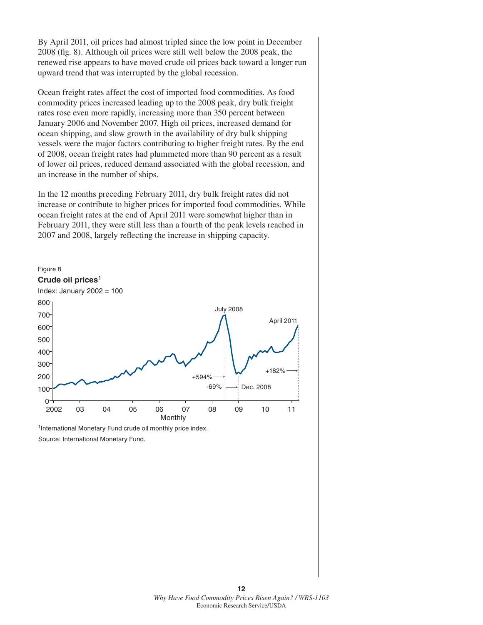By April 2011, oil prices had almost tripled since the low point in December 2008 (fig. 8). Although oil prices were still well below the 2008 peak, the renewed rise appears to have moved crude oil prices back toward a longer run upward trend that was interrupted by the global recession.

Ocean freight rates affect the cost of imported food commodities. As food commodity prices increased leading up to the 2008 peak, dry bulk freight rates rose even more rapidly, increasing more than 350 percent between January 2006 and November 2007. High oil prices, increased demand for ocean shipping, and slow growth in the availability of dry bulk shipping vessels were the major factors contributing to higher freight rates. By the end of 2008, ocean freight rates had plummeted more than 90 percent as a result of lower oil prices, reduced demand associated with the global recession, and an increase in the number of ships.

In the 12 months preceding February 2011, dry bulk freight rates did not increase or contribute to higher prices for imported food commodities. While ocean freight rates at the end of April 2011 were somewhat higher than in February 2011, they were still less than a fourth of the peak levels reached in 2007 and 2008, largely reflecting the increase in shipping capacity.



<sup>&</sup>lt;sup>1</sup>International Monetary Fund crude oil monthly price index. Source: International Monetary Fund.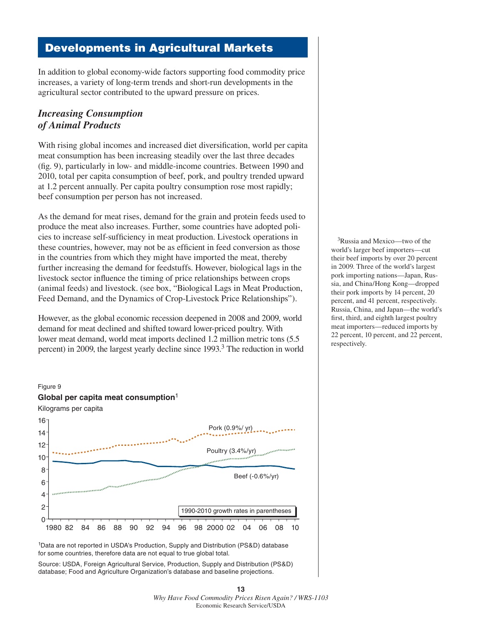# **Developments in Agricultural Markets**

In addition to global economy-wide factors supporting food commodity price increases, a variety of long-term trends and short-run developments in the agricultural sector contributed to the upward pressure on prices.

### *Increasing Consumption of Animal Products*

With rising global incomes and increased diet diversification, world per capita meat consumption has been increasing steadily over the last three decades  $(f_1, g_2)$ , particularly in low- and middle-income countries. Between 1990 and 2010, total per capita consumption of beef, pork, and poultry trended upward at 1.2 percent annually. Per capita poultry consumption rose most rapidly; beef consumption per person has not increased.

As the demand for meat rises, demand for the grain and protein feeds used to produce the meat also increases. Further, some countries have adopted policies to increase self-sufficiency in meat production. Livestock operations in these countries, however, may not be as efficient in feed conversion as those in the countries from which they might have imported the meat, thereby further increasing the demand for feedstuffs. However, biological lags in the livestock sector influence the timing of price relationships between crops (animal feeds) and livestock. (see box, "Biological Lags in Meat Production, Feed Demand, and the Dynamics of Crop-Livestock Price Relationships").

However, as the global economic recession deepened in 2008 and 2009, world demand for meat declined and shifted toward lower-priced poultry. With lower meat demand, world meat imports declined 1.2 million metric tons (5.5 percent) in 2009, the largest yearly decline since 1993.<sup>3</sup> The reduction in world



<sup>1</sup>Data are not reported in USDA's Production, Supply and Distribution (PS&D) database for some countries, therefore data are not equal to true global total.

Source: USDA, Foreign Agricultural Service, Production, Supply and Distribution (PS&D) database; Food and Agriculture Organization's database and baseline projections.

3Russia and Mexico—two of the world's larger beef importers—cut their beef imports by over 20 percent in 2009. Three of the world's largest pork importing nations—Japan, Russia, and China/Hong Kong—dropped their pork imports by 14 percent, 20 percent, and 41 percent, respectively. Russia, China, and Japan—the world's first, third, and eighth largest poultry meat importers—reduced imports by 22 percent, 10 percent, and 22 percent, respectively.

**<sup>13</sup>** *Why Have Food Commodity Prices Risen Again? / WRS-1103*  Economic Research Service/USDA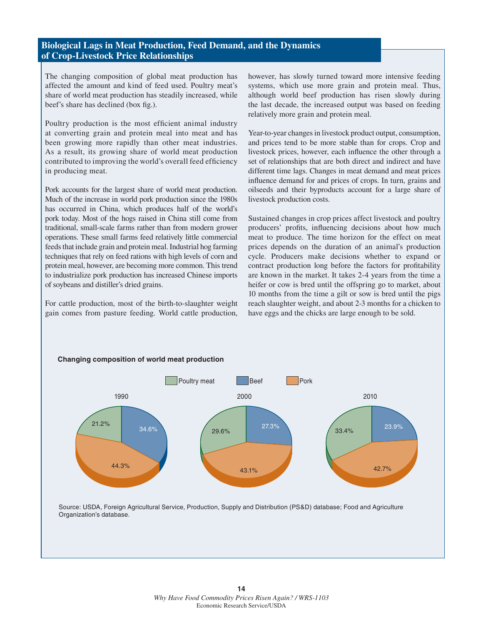#### **Biological Lags in Meat Production, Feed Demand, and the Dynamics of Crop-Livestock Price Relationships**

The changing composition of global meat production has affected the amount and kind of feed used. Poultry meat's share of world meat production has steadily increased, while beef's share has declined (box fig.).

Poultry production is the most efficient animal industry at converting grain and protein meal into meat and has been growing more rapidly than other meat industries. As a result, its growing share of world meat production contributed to improving the world's overall feed efficiency in producing meat.

Pork accounts for the largest share of world meat production. Much of the increase in world pork production since the 1980s has occurred in China, which produces half of the world's pork today. Most of the hogs raised in China still come from traditional, small-scale farms rather than from modern grower operations. These small farms feed relatively little commercial feeds that include grain and protein meal. Industrial hog farming techniques that rely on feed rations with high levels of corn and protein meal, however, are becoming more common. This trend to industrialize pork production has increased Chinese imports of soybeans and distiller's dried grains.

For cattle production, most of the birth-to-slaughter weight gain comes from pasture feeding. World cattle production,

**Changing composition of world meat production**

however, has slowly turned toward more intensive feeding systems, which use more grain and protein meal. Thus, although world beef production has risen slowly during the last decade, the increased output was based on feeding relatively more grain and protein meal.

Year-to-year changes in livestock product output, consumption, and prices tend to be more stable than for crops. Crop and livestock prices, however, each influence the other through a set of relationships that are both direct and indirect and have different time lags. Changes in meat demand and meat prices influence demand for and prices of crops. In turn, grains and oilseeds and their byproducts account for a large share of livestock production costs.

Sustained changes in crop prices affect livestock and poultry producers' profits, influencing decisions about how much meat to produce. The time horizon for the effect on meat prices depends on the duration of an animal's production cycle. Producers make decisions whether to expand or contract production long before the factors for profitability are known in the market. It takes 2-4 years from the time a heifer or cow is bred until the offspring go to market, about 10 months from the time a gilt or sow is bred until the pigs reach slaughter weight, and about 2-3 months for a chicken to have eggs and the chicks are large enough to be sold.



Source: USDA, Foreign Agricultural Service, Production, Supply and Distribution (PS&D) database; Food and Agriculture Organization's database.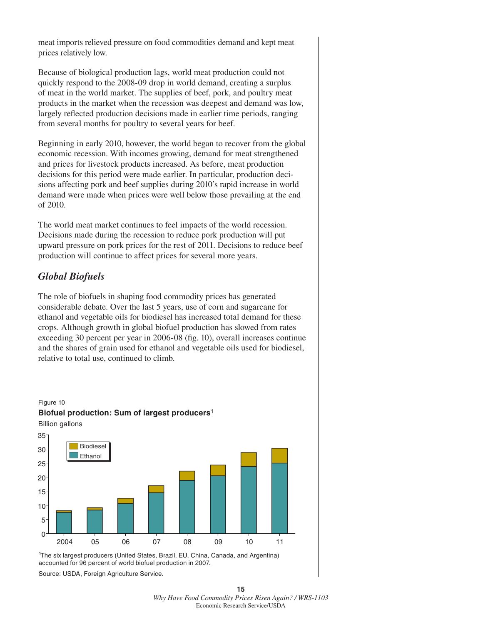meat imports relieved pressure on food commodities demand and kept meat prices relatively low.

Because of biological production lags, world meat production could not quickly respond to the 2008-09 drop in world demand, creating a surplus of meat in the world market. The supplies of beef, pork, and poultry meat products in the market when the recession was deepest and demand was low, largely reflected production decisions made in earlier time periods, ranging from several months for poultry to several years for beef.

Beginning in early 2010, however, the world began to recover from the global economic recession. With incomes growing, demand for meat strengthened and prices for livestock products increased. As before, meat production decisions for this period were made earlier. In particular, production decisions affecting pork and beef supplies during 2010's rapid increase in world demand were made when prices were well below those prevailing at the end of 2010.

The world meat market continues to feel impacts of the world recession. Decisions made during the recession to reduce pork production will put upward pressure on pork prices for the rest of 2011. Decisions to reduce beef production will continue to affect prices for several more years.

### *Global Biofuels*

The role of biofuels in shaping food commodity prices has generated considerable debate. Over the last 5 years, use of corn and sugarcane for ethanol and vegetable oils for biodiesel has increased total demand for these crops. Although growth in global biofuel production has slowed from rates exceeding 30 percent per year in  $2006-08$  (fig. 10), overall increases continue and the shares of grain used for ethanol and vegetable oils used for biodiesel, relative to total use, continued to climb.



1 The six largest producers (United States, Brazil, EU, China, Canada, and Argentina) accounted for 96 percent of world biofuel production in 2007.

Source: USDA, Foreign Agriculture Service.

**15** *Why Have Food Commodity Prices Risen Again? / WRS-1103*  Economic Research Service/USDA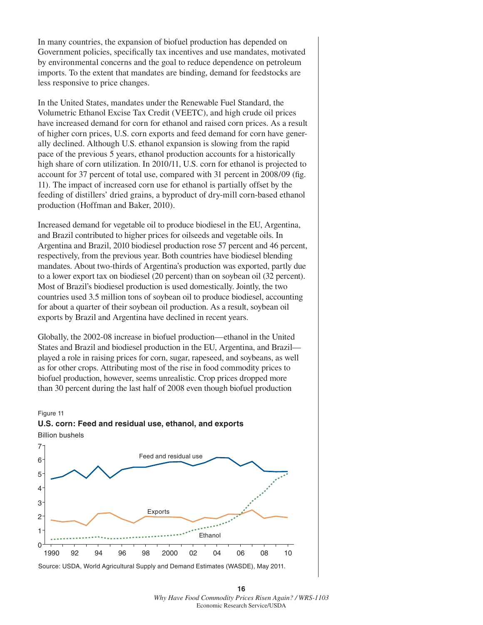In many countries, the expansion of biofuel production has depended on Government policies, specifically tax incentives and use mandates, motivated by environmental concerns and the goal to reduce dependence on petroleum imports. To the extent that mandates are binding, demand for feedstocks are less responsive to price changes.

In the United States, mandates under the Renewable Fuel Standard, the Volumetric Ethanol Excise Tax Credit (VEETC), and high crude oil prices have increased demand for corn for ethanol and raised corn prices. As a result of higher corn prices, U.S. corn exports and feed demand for corn have generally declined. Although U.S. ethanol expansion is slowing from the rapid pace of the previous 5 years, ethanol production accounts for a historically high share of corn utilization. In 2010/11, U.S. corn for ethanol is projected to account for 37 percent of total use, compared with 31 percent in 2008/09 (fig. 11). The impact of increased corn use for ethanol is partially offset by the feeding of distillers' dried grains, a byproduct of dry-mill corn-based ethanol production (Hoffman and Baker, 2010).

Increased demand for vegetable oil to produce biodiesel in the EU, Argentina, and Brazil contributed to higher prices for oilseeds and vegetable oils. In Argentina and Brazil, 2010 biodiesel production rose 57 percent and 46 percent, respectively, from the previous year. Both countries have biodiesel blending mandates. About two-thirds of Argentina's production was exported, partly due to a lower export tax on biodiesel (20 percent) than on soybean oil (32 percent). Most of Brazil's biodiesel production is used domestically. Jointly, the two countries used 3.5 million tons of soybean oil to produce biodiesel, accounting for about a quarter of their soybean oil production. As a result, soybean oil exports by Brazil and Argentina have declined in recent years.

Globally, the 2002-08 increase in biofuel production—ethanol in the United States and Brazil and biodiesel production in the EU, Argentina, and Brazil played a role in raising prices for corn, sugar, rapeseed, and soybeans, as well as for other crops. Attributing most of the rise in food commodity prices to biofuel production, however, seems unrealistic. Crop prices dropped more than 30 percent during the last half of 2008 even though biofuel production

#### Figure 11





Source: USDA, World Agricultural Supply and Demand Estimates (WASDE), May 2011.

**16** *Why Have Food Commodity Prices Risen Again? / WRS-1103*  Economic Research Service/USDA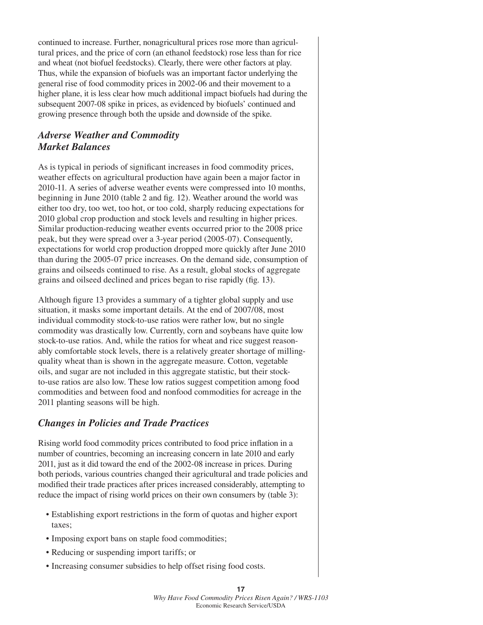continued to increase. Further, nonagricultural prices rose more than agricultural prices, and the price of corn (an ethanol feedstock) rose less than for rice and wheat (not biofuel feedstocks). Clearly, there were other factors at play. Thus, while the expansion of biofuels was an important factor underlying the general rise of food commodity prices in 2002-06 and their movement to a higher plane, it is less clear how much additional impact biofuels had during the subsequent 2007-08 spike in prices, as evidenced by biofuels' continued and growing presence through both the upside and downside of the spike.

### *Adverse Weather and Commodity Market Balances*

As is typical in periods of significant increases in food commodity prices, weather effects on agricultural production have again been a major factor in 2010-11. A series of adverse weather events were compressed into 10 months, beginning in June 2010 (table 2 and fig. 12). Weather around the world was either too dry, too wet, too hot, or too cold, sharply reducing expectations for 2010 global crop production and stock levels and resulting in higher prices. Similar production-reducing weather events occurred prior to the 2008 price peak, but they were spread over a 3-year period (2005-07). Consequently, expectations for world crop production dropped more quickly after June 2010 than during the 2005-07 price increases. On the demand side, consumption of grains and oilseeds continued to rise. As a result, global stocks of aggregate grains and oilseed declined and prices began to rise rapidly (fig. 13).

Although figure 13 provides a summary of a tighter global supply and use situation, it masks some important details. At the end of 2007/08, most individual commodity stock-to-use ratios were rather low, but no single commodity was drastically low. Currently, corn and soybeans have quite low stock-to-use ratios. And, while the ratios for wheat and rice suggest reasonably comfortable stock levels, there is a relatively greater shortage of millingquality wheat than is shown in the aggregate measure. Cotton, vegetable oils, and sugar are not included in this aggregate statistic, but their stockto-use ratios are also low. These low ratios suggest competition among food commodities and between food and nonfood commodities for acreage in the 2011 planting seasons will be high.

#### *Changes in Policies and Trade Practices*

Rising world food commodity prices contributed to food price inflation in a number of countries, becoming an increasing concern in late 2010 and early 2011, just as it did toward the end of the 2002-08 increase in prices. During both periods, various countries changed their agricultural and trade policies and modified their trade practices after prices increased considerably, attempting to reduce the impact of rising world prices on their own consumers by (table 3):

- Establishing export restrictions in the form of quotas and higher export taxes;
- Imposing export bans on staple food commodities;
- Reducing or suspending import tariffs; or
- Increasing consumer subsidies to help offset rising food costs.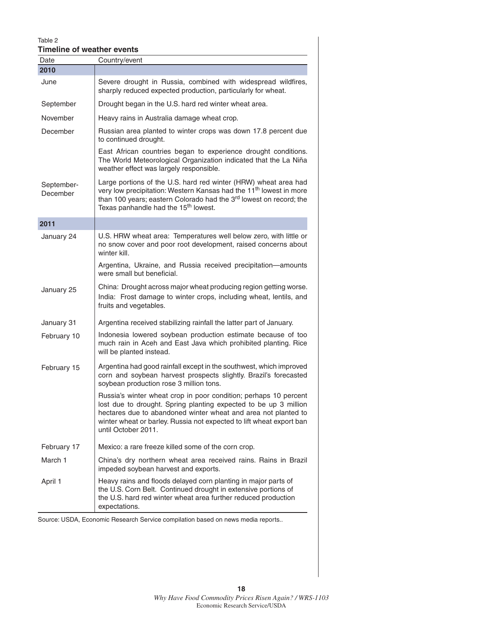#### Table 2 **Timeline of weather events**

| i imeline of weather events<br>Date | Country/event                                                                                                                                                                                                                                                                                         |
|-------------------------------------|-------------------------------------------------------------------------------------------------------------------------------------------------------------------------------------------------------------------------------------------------------------------------------------------------------|
| 2010                                |                                                                                                                                                                                                                                                                                                       |
| June                                | Severe drought in Russia, combined with widespread wildfires,<br>sharply reduced expected production, particularly for wheat.                                                                                                                                                                         |
| September                           | Drought began in the U.S. hard red winter wheat area.                                                                                                                                                                                                                                                 |
| November                            | Heavy rains in Australia damage wheat crop.                                                                                                                                                                                                                                                           |
| December                            | Russian area planted to winter crops was down 17.8 percent due<br>to continued drought.                                                                                                                                                                                                               |
|                                     | East African countries began to experience drought conditions.<br>The World Meteorological Organization indicated that the La Niña<br>weather effect was largely responsible.                                                                                                                         |
| September-<br>December              | Large portions of the U.S. hard red winter (HRW) wheat area had<br>very low precipitation: Western Kansas had the 11 <sup>th</sup> lowest in more<br>than 100 years; eastern Colorado had the 3rd lowest on record; the<br>Texas panhandle had the 15 <sup>th</sup> lowest.                           |
| 2011                                |                                                                                                                                                                                                                                                                                                       |
| January 24                          | U.S. HRW wheat area: Temperatures well below zero, with little or<br>no snow cover and poor root development, raised concerns about<br>winter kill.                                                                                                                                                   |
|                                     | Argentina, Ukraine, and Russia received precipitation-amounts<br>were small but beneficial.                                                                                                                                                                                                           |
| January 25                          | China: Drought across major wheat producing region getting worse.<br>India: Frost damage to winter crops, including wheat, lentils, and<br>fruits and vegetables.                                                                                                                                     |
| January 31                          | Argentina received stabilizing rainfall the latter part of January.                                                                                                                                                                                                                                   |
| February 10                         | Indonesia lowered soybean production estimate because of too<br>much rain in Aceh and East Java which prohibited planting. Rice<br>will be planted instead.                                                                                                                                           |
| February 15                         | Argentina had good rainfall except in the southwest, which improved<br>corn and soybean harvest prospects slightly. Brazil's forecasted<br>soybean production rose 3 million tons.                                                                                                                    |
|                                     | Russia's winter wheat crop in poor condition; perhaps 10 percent<br>lost due to drought. Spring planting expected to be up 3 million<br>hectares due to abandoned winter wheat and area not planted to<br>winter wheat or barley. Russia not expected to lift wheat export ban<br>until October 2011. |
| February 17                         | Mexico: a rare freeze killed some of the corn crop.                                                                                                                                                                                                                                                   |
| March 1                             | China's dry northern wheat area received rains. Rains in Brazil<br>impeded soybean harvest and exports.                                                                                                                                                                                               |
| April 1                             | Heavy rains and floods delayed corn planting in major parts of<br>the U.S. Corn Belt. Continued drought in extensive portions of<br>the U.S. hard red winter wheat area further reduced production<br>expectations.                                                                                   |

Source: USDA, Economic Research Service compilation based on news media reports..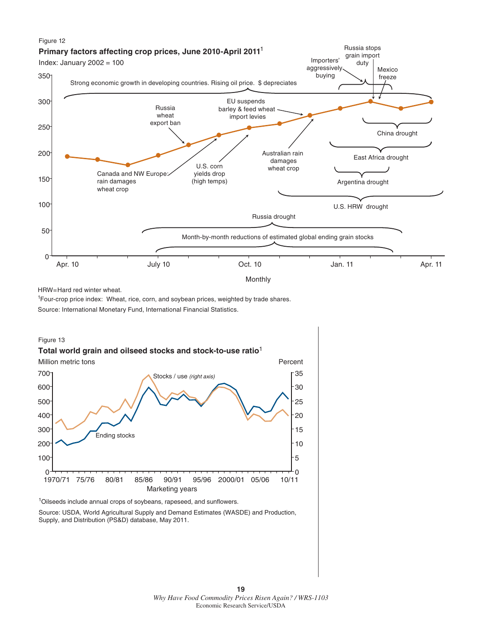

HRW=Hard red winter wheat.

<sup>1</sup>Four-crop price index: Wheat, rice, corn, and soybean prices, weighted by trade shares.

Source: International Monetary Fund, International Financial Statistics.

#### Figure 13



<sup>1</sup>Oilseeds include annual crops of soybeans, rapeseed, and sunflowers.

Source: USDA, World Agricultural Supply and Demand Estimates (WASDE) and Production, Supply, and Distribution (PS&D) database, May 2011.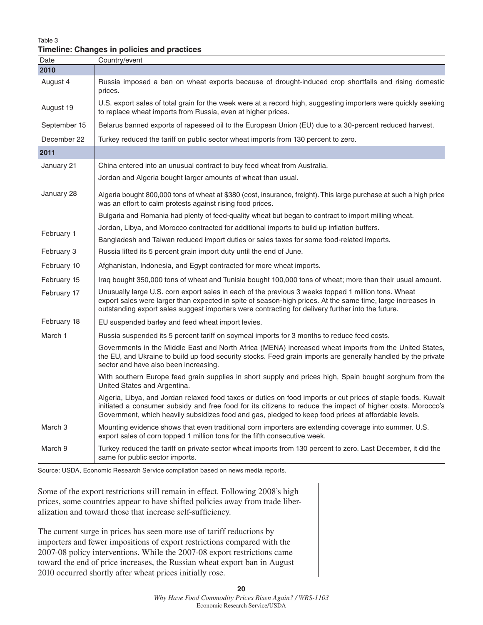Table 3

#### **Timeline: Changes in policies and practices**

| Date               | Country/event                                                                                                                                                                                                                                                                                                                        |
|--------------------|--------------------------------------------------------------------------------------------------------------------------------------------------------------------------------------------------------------------------------------------------------------------------------------------------------------------------------------|
| 2010               |                                                                                                                                                                                                                                                                                                                                      |
| August 4           | Russia imposed a ban on wheat exports because of drought-induced crop shortfalls and rising domestic<br>prices.                                                                                                                                                                                                                      |
| August 19          | U.S. export sales of total grain for the week were at a record high, suggesting importers were quickly seeking<br>to replace wheat imports from Russia, even at higher prices.                                                                                                                                                       |
| September 15       | Belarus banned exports of rapeseed oil to the European Union (EU) due to a 30-percent reduced harvest.                                                                                                                                                                                                                               |
| December 22        | Turkey reduced the tariff on public sector wheat imports from 130 percent to zero.                                                                                                                                                                                                                                                   |
| 2011               |                                                                                                                                                                                                                                                                                                                                      |
| January 21         | China entered into an unusual contract to buy feed wheat from Australia.                                                                                                                                                                                                                                                             |
|                    | Jordan and Algeria bought larger amounts of wheat than usual.                                                                                                                                                                                                                                                                        |
| January 28         | Algeria bought 800,000 tons of wheat at \$380 (cost, insurance, freight). This large purchase at such a high price<br>was an effort to calm protests against rising food prices.                                                                                                                                                     |
|                    | Bulgaria and Romania had plenty of feed-quality wheat but began to contract to import milling wheat.                                                                                                                                                                                                                                 |
|                    | Jordan, Libya, and Morocco contracted for additional imports to build up inflation buffers.                                                                                                                                                                                                                                          |
| February 1         | Bangladesh and Taiwan reduced import duties or sales taxes for some food-related imports.                                                                                                                                                                                                                                            |
| February 3         | Russia lifted its 5 percent grain import duty until the end of June.                                                                                                                                                                                                                                                                 |
| February 10        | Afghanistan, Indonesia, and Egypt contracted for more wheat imports.                                                                                                                                                                                                                                                                 |
| February 15        | Iraq bought 350,000 tons of wheat and Tunisia bought 100,000 tons of wheat; more than their usual amount.                                                                                                                                                                                                                            |
| February 17        | Unusually large U.S. corn export sales in each of the previous 3 weeks topped 1 million tons. Wheat<br>export sales were larger than expected in spite of season-high prices. At the same time, large increases in<br>outstanding export sales suggest importers were contracting for delivery further into the future.              |
| February 18        | EU suspended barley and feed wheat import levies.                                                                                                                                                                                                                                                                                    |
| March 1            | Russia suspended its 5 percent tariff on soymeal imports for 3 months to reduce feed costs.                                                                                                                                                                                                                                          |
|                    | Governments in the Middle East and North Africa (MENA) increased wheat imports from the United States,<br>the EU, and Ukraine to build up food security stocks. Feed grain imports are generally handled by the private<br>sector and have also been increasing.                                                                     |
|                    | With southern Europe feed grain supplies in short supply and prices high, Spain bought sorghum from the<br>United States and Argentina.                                                                                                                                                                                              |
|                    | Algeria, Libya, and Jordan relaxed food taxes or duties on food imports or cut prices of staple foods. Kuwait<br>initiated a consumer subsidy and free food for its citizens to reduce the impact of higher costs. Morocco's<br>Government, which heavily subsidizes food and gas, pledged to keep food prices at affordable levels. |
| March <sub>3</sub> | Mounting evidence shows that even traditional corn importers are extending coverage into summer. U.S.<br>export sales of corn topped 1 million tons for the fifth consecutive week.                                                                                                                                                  |
| March 9            | Turkey reduced the tariff on private sector wheat imports from 130 percent to zero. Last December, it did the<br>same for public sector imports.                                                                                                                                                                                     |

Source: USDA, Economic Research Service compilation based on news media reports.

Some of the export restrictions still remain in effect. Following 2008's high prices, some countries appear to have shifted policies away from trade liberalization and toward those that increase self-sufficiency.

The current surge in prices has seen more use of tariff reductions by importers and fewer impositions of export restrictions compared with the 2007-08 policy interventions. While the 2007-08 export restrictions came toward the end of price increases, the Russian wheat export ban in August 2010 occurred shortly after wheat prices initially rose.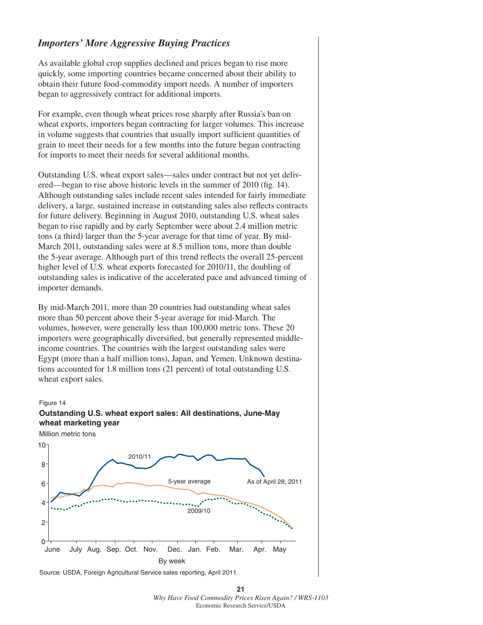### *Importers' More Aggressive Buying Practices*

As available global crop supplies declined and prices began to rise more quickly, some importing countries became concerned about their ability to obtain their future food-commodity import needs. A number of importers began to aggressively contract for additional imports.

For example, even though wheat prices rose sharply after Russia's ban on wheat exports, importers began contracting for larger volumes. This increase in volume suggests that countries that usually import sufficient quantities of grain to meet their needs for a few months into the future began contracting for imports to meet their needs for several additional months.

Outstanding U.S. wheat export sales—sales under contract but not yet delivered—began to rise above historic levels in the summer of 2010 (fig. 14). Although outstanding sales include recent sales intended for fairly immediate delivery, a large, sustained increase in outstanding sales also reflects contracts for future delivery. Beginning in August 2010, outstanding U.S. wheat sales began to rise rapidly and by early September were about 2.4 million metric tons (a third) larger than the 5-year average for that time of year. By mid-March 2011, outstanding sales were at 8.5 million tons, more than double the 5-year average. Although part of this trend reflects the overall 25-percent higher level of U.S. wheat exports forecasted for 2010/11, the doubling of outstanding sales is indicative of the accelerated pace and advanced timing of importer demands.

By mid-March 2011, more than 20 countries had outstanding wheat sales more than 50 percent above their 5-year average for mid-March. The volumes, however, were generally less than 100,000 metric tons. These 20 importers were geographically diversified, but generally represented middleincome countries. The countries with the largest outstanding sales were Egypt (more than a half million tons), Japan, and Yemen. Unknown destinations accounted for 1.8 million tons (21 percent) of total outstanding U.S. wheat export sales.

#### Figure 14





Source: USDA, Foreign Agricultural Service sales reporting, April 2011.

**<sup>21</sup>** *Why Have Food Commodity Prices Risen Again? / WRS-1103*  Economic Research Service/USDA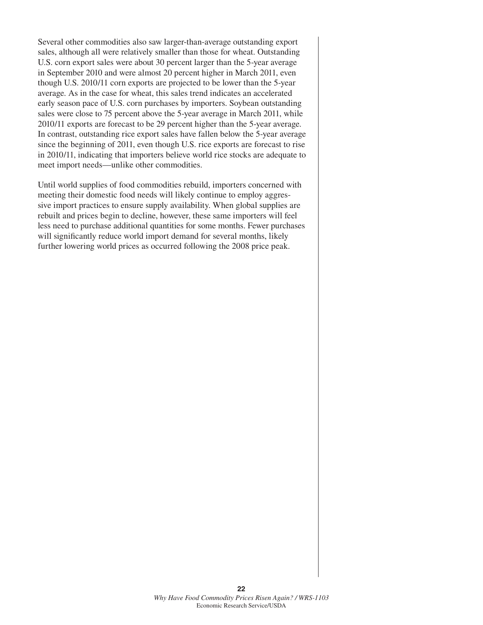Several other commodities also saw larger-than-average outstanding export sales, although all were relatively smaller than those for wheat. Outstanding U.S. corn export sales were about 30 percent larger than the 5-year average in September 2010 and were almost 20 percent higher in March 2011, even though U.S. 2010/11 corn exports are projected to be lower than the 5-year average. As in the case for wheat, this sales trend indicates an accelerated early season pace of U.S. corn purchases by importers. Soybean outstanding sales were close to 75 percent above the 5-year average in March 2011, while 2010/11 exports are forecast to be 29 percent higher than the 5-year average. In contrast, outstanding rice export sales have fallen below the 5-year average since the beginning of 2011, even though U.S. rice exports are forecast to rise in 2010/11, indicating that importers believe world rice stocks are adequate to meet import needs—unlike other commodities.

Until world supplies of food commodities rebuild, importers concerned with meeting their domestic food needs will likely continue to employ aggressive import practices to ensure supply availability. When global supplies are rebuilt and prices begin to decline, however, these same importers will feel less need to purchase additional quantities for some months. Fewer purchases will significantly reduce world import demand for several months, likely further lowering world prices as occurred following the 2008 price peak.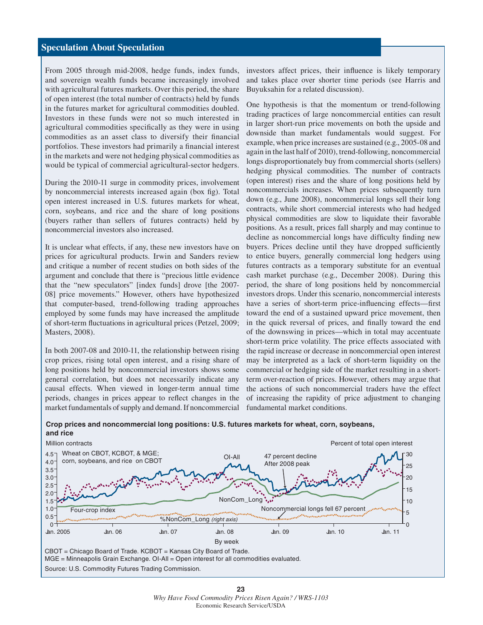#### **Speculation About Speculation**

From 2005 through mid-2008, hedge funds, index funds, and sovereign wealth funds became increasingly involved with agricultural futures markets. Over this period, the share of open interest (the total number of contracts) held by funds in the futures market for agricultural commodities doubled. Investors in these funds were not so much interested in agricultural commodities specifically as they were in using commodities as an asset class to diversify their financial portfolios. These investors had primarily a financial interest in the markets and were not hedging physical commodities as would be typical of commercial agricultural-sector hedgers.

During the 2010-11 surge in commodity prices, involvement by noncommercial interests increased again (box fig). Total open interest increased in U.S. futures markets for wheat, corn, soybeans, and rice and the share of long positions (buyers rather than sellers of futures contracts) held by noncommercial investors also increased.

It is unclear what effects, if any, these new investors have on prices for agricultural products. Irwin and Sanders review and critique a number of recent studies on both sides of the argument and conclude that there is "precious little evidence that the "new speculators" [index funds] drove [the 2007- 08] price movements." However, others have hypothesized that computer-based, trend-following trading approaches employed by some funds may have increased the amplitude of short-term fluctuations in agricultural prices (Petzel, 2009; Masters, 2008).

In both 2007-08 and 2010-11, the relationship between rising crop prices, rising total open interest, and a rising share of long positions held by noncommercial investors shows some general correlation, but does not necessarily indicate any causal effects. When viewed in longer-term annual time periods, changes in prices appear to reflect changes in the market fundamentals of supply and demand. If noncommercial investors affect prices, their influence is likely temporary and takes place over shorter time periods (see Harris and Buyuksahin for a related discussion).

One hypothesis is that the momentum or trend-following trading practices of large noncommercial entities can result in larger short-run price movements on both the upside and downside than market fundamentals would suggest. For example, when price increases are sustained (e.g., 2005-08 and again in the last half of 2010), trend-following, noncommercial longs disproportionately buy from commercial shorts (sellers) hedging physical commodities. The number of contracts (open interest) rises and the share of long positions held by noncommercials increases. When prices subsequently turn down (e.g., June 2008), noncommercial longs sell their long contracts, while short commercial interests who had hedged physical commodities are slow to liquidate their favorable positions. As a result, prices fall sharply and may continue to decline as noncommercial longs have difficulty finding new buyers. Prices decline until they have dropped sufficiently to entice buyers, generally commercial long hedgers using futures contracts as a temporary substitute for an eventual cash market purchase (e.g., December 2008). During this period, the share of long positions held by noncommercial investors drops. Under this scenario, noncommercial interests have a series of short-term price-influencing effects—first toward the end of a sustained upward price movement, then in the quick reversal of prices, and finally toward the end of the downswing in prices—which in total may accentuate short-term price volatility. The price effects associated with the rapid increase or decrease in noncommercial open interest may be interpreted as a lack of short-term liquidity on the commercial or hedging side of the market resulting in a shortterm over-reaction of prices. However, others may argue that the actions of such noncommercial traders have the effect of increasing the rapidity of price adjustment to changing fundamental market conditions.



**Crop prices and noncommercial long positions: U.S. futures markets for wheat, corn, soybeans, and rice**

Source: U.S. Commodity Futures Trading Commission.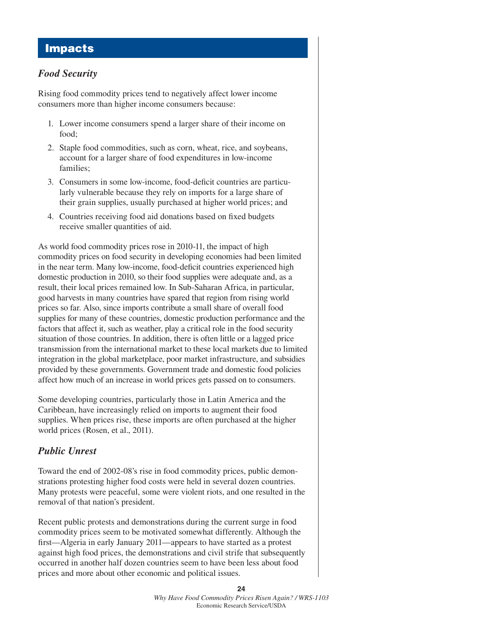### **Impacts**

### *Food Security*

Rising food commodity prices tend to negatively affect lower income consumers more than higher income consumers because:

- 1. Lower income consumers spend a larger share of their income on food;
- 2. Staple food commodities, such as corn, wheat, rice, and soybeans, account for a larger share of food expenditures in low-income families;
- 3. Consumers in some low-income, food-deficit countries are particularly vulnerable because they rely on imports for a large share of their grain supplies, usually purchased at higher world prices; and
- 4. Countries receiving food aid donations based on fixed budgets receive smaller quantities of aid.

As world food commodity prices rose in 2010-11, the impact of high commodity prices on food security in developing economies had been limited in the near term. Many low-income, food-deficit countries experienced high domestic production in 2010, so their food supplies were adequate and, as a result, their local prices remained low. In Sub-Saharan Africa, in particular, good harvests in many countries have spared that region from rising world prices so far. Also, since imports contribute a small share of overall food supplies for many of these countries, domestic production performance and the factors that affect it, such as weather, play a critical role in the food security situation of those countries. In addition, there is often little or a lagged price transmission from the international market to these local markets due to limited integration in the global marketplace, poor market infrastructure, and subsidies provided by these governments. Government trade and domestic food policies affect how much of an increase in world prices gets passed on to consumers.

Some developing countries, particularly those in Latin America and the Caribbean, have increasingly relied on imports to augment their food supplies. When prices rise, these imports are often purchased at the higher world prices (Rosen, et al., 2011).

### *Public Unrest*

Toward the end of 2002-08's rise in food commodity prices, public demonstrations protesting higher food costs were held in several dozen countries. Many protests were peaceful, some were violent riots, and one resulted in the removal of that nation's president.

Recent public protests and demonstrations during the current surge in food commodity prices seem to be motivated somewhat differently. Although the first—Algeria in early January 2011—appears to have started as a protest against high food prices, the demonstrations and civil strife that subsequently occurred in another half dozen countries seem to have been less about food prices and more about other economic and political issues.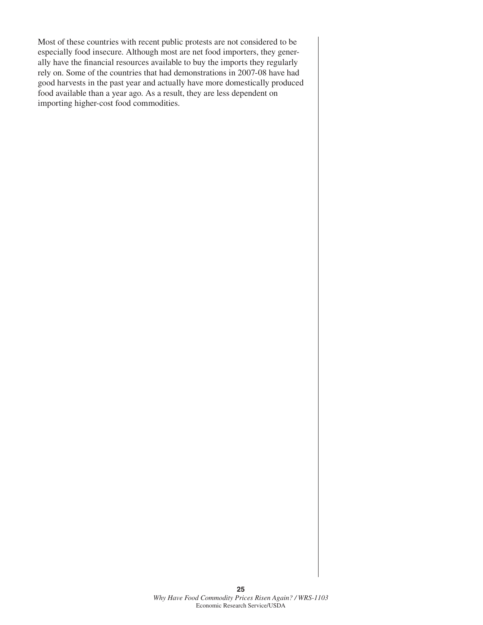Most of these countries with recent public protests are not considered to be especially food insecure. Although most are net food importers, they generally have the financial resources available to buy the imports they regularly rely on. Some of the countries that had demonstrations in 2007-08 have had good harvests in the past year and actually have more domestically produced food available than a year ago. As a result, they are less dependent on importing higher-cost food commodities.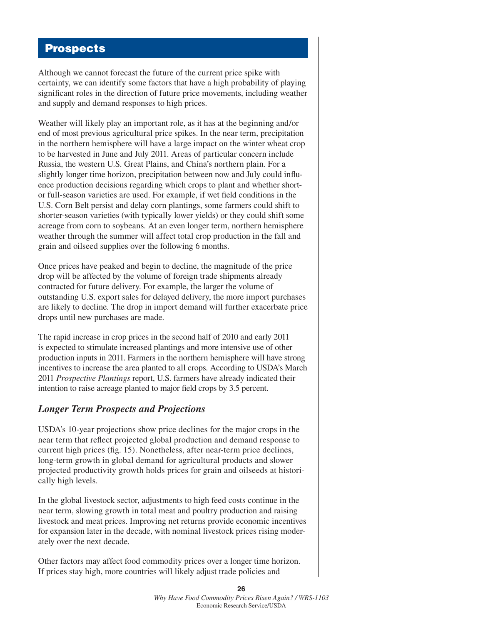# **Prospects**

Although we cannot forecast the future of the current price spike with certainty, we can identify some factors that have a high probability of playing significant roles in the direction of future price movements, including weather and supply and demand responses to high prices.

Weather will likely play an important role, as it has at the beginning and/or end of most previous agricultural price spikes. In the near term, precipitation in the northern hemisphere will have a large impact on the winter wheat crop to be harvested in June and July 2011. Areas of particular concern include Russia, the western U.S. Great Plains, and China's northern plain. For a slightly longer time horizon, precipitation between now and July could influence production decisions regarding which crops to plant and whether shortor full-season varieties are used. For example, if wet field conditions in the U.S. Corn Belt persist and delay corn plantings, some farmers could shift to shorter-season varieties (with typically lower yields) or they could shift some acreage from corn to soybeans. At an even longer term, northern hemisphere weather through the summer will affect total crop production in the fall and grain and oilseed supplies over the following 6 months.

Once prices have peaked and begin to decline, the magnitude of the price drop will be affected by the volume of foreign trade shipments already contracted for future delivery. For example, the larger the volume of outstanding U.S. export sales for delayed delivery, the more import purchases are likely to decline. The drop in import demand will further exacerbate price drops until new purchases are made.

The rapid increase in crop prices in the second half of 2010 and early 2011 is expected to stimulate increased plantings and more intensive use of other production inputs in 2011. Farmers in the northern hemisphere will have strong incentives to increase the area planted to all crops. According to USDA's March 2011 *Prospective Plantings* report, U.S. farmers have already indicated their intention to raise acreage planted to major field crops by 3.5 percent.

#### *Longer Term Prospects and Projections*

USDA's 10-year projections show price declines for the major crops in the near term that reflect projected global production and demand response to current high prices (fig. 15). Nonetheless, after near-term price declines, long-term growth in global demand for agricultural products and slower projected productivity growth holds prices for grain and oilseeds at historically high levels.

In the global livestock sector, adjustments to high feed costs continue in the near term, slowing growth in total meat and poultry production and raising livestock and meat prices. Improving net returns provide economic incentives for expansion later in the decade, with nominal livestock prices rising moderately over the next decade.

Other factors may affect food commodity prices over a longer time horizon. If prices stay high, more countries will likely adjust trade policies and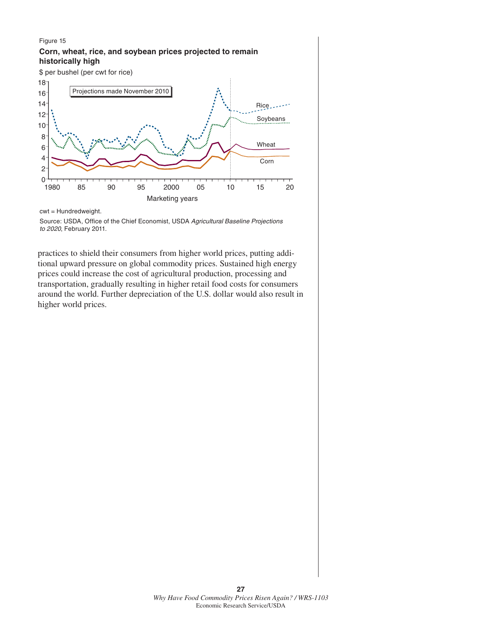#### Figure 15 **Corn, wheat, rice, and soybean prices projected to remain historically high**





cwt = Hundredweight.

practices to shield their consumers from higher world prices, putting additional upward pressure on global commodity prices. Sustained high energy prices could increase the cost of agricultural production, processing and transportation, gradually resulting in higher retail food costs for consumers around the world. Further depreciation of the U.S. dollar would also result in higher world prices.

Source: USDA, Office of the Chief Economist, USDA *Agricultural Baseline Projections to 2020*, February 2011.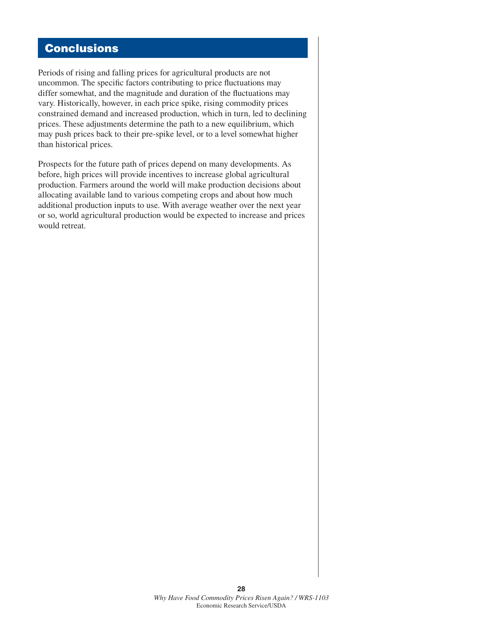# **Conclusions**

Periods of rising and falling prices for agricultural products are not uncommon. The specific factors contributing to price fluctuations may differ somewhat, and the magnitude and duration of the fluctuations may vary. Historically, however, in each price spike, rising commodity prices constrained demand and increased production, which in turn, led to declining prices. These adjustments determine the path to a new equilibrium, which may push prices back to their pre-spike level, or to a level somewhat higher than historical prices.

Prospects for the future path of prices depend on many developments. As before, high prices will provide incentives to increase global agricultural production. Farmers around the world will make production decisions about allocating available land to various competing crops and about how much additional production inputs to use. With average weather over the next year or so, world agricultural production would be expected to increase and prices would retreat.